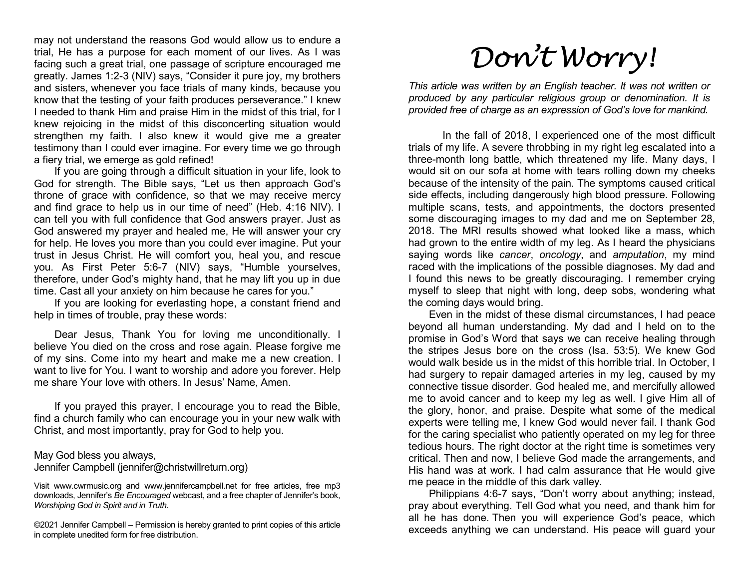may not understand the reasons God would allow us to endure a trial, He has a purpose for each moment of our lives. As I was facing such a great trial, one passage of scripture encouraged me greatly. James 1:2-3 (NIV) says, "Consider it pure joy, my brothers and sisters, whenever you face trials of many kinds, because you know that the testing of your faith produces perseverance." I knew I needed to thank Him and praise Him in the midst of this trial, for I knew rejoicing in the midst of this disconcerting situation would strengthen my faith. I also knew it would give me a greater testimony than I could ever imagine. For every time we go through a fiery trial, we emerge as gold refined!

If you are going through a difficult situation in your life, look to God for strength. The Bible says, "Let us then approach God's throne of grace with confidence, so that we may receive mercy and find grace to help us in our time of need" (Heb. 4:16 NIV). I can tell you with full confidence that God answers prayer. Just as God answered my prayer and healed me, He will answer your cry for help. He loves you more than you could ever imagine. Put your trust in Jesus Christ. He will comfort you, heal you, and rescue you. As First Peter 5:6-7 (NIV) says, "Humble yourselves, therefore, under God's mighty hand, that he may lift you up in due time. Cast all your anxiety on him because he cares for you."

If you are looking for everlasting hope, a constant friend and help in times of trouble, pray these words:

Dear Jesus, Thank You for loving me unconditionally. I believe You died on the cross and rose again. Please forgive me of my sins. Come into my heart and make me a new creation. I want to live for You. I want to worship and adore you forever. Help me share Your love with others. In Jesus' Name, Amen.

If you prayed this prayer, I encourage you to read the Bible, find a church family who can encourage you in your new walk with Christ, and most importantly, pray for God to help you.

May God bless you always, Jennifer Campbell (jennifer@christwillreturn.org)

Visit www.cwrmusic.org and www.jennifercampbell.net for free articles, free mp3 downloads, Jennifer's Be Encouraged webcast, and a free chapter of Jennifer's book, Worshiping God in Spirit and in Truth.

©2021 Jennifer Campbell – Permission is hereby granted to print copies of this article in complete unedited form for free distribution.

## Don't Worry!

This article was written by an English teacher. It was not written or produced by any particular religious group or denomination. It is provided free of charge as an expression of God's love for mankind.

 In the fall of 2018, I experienced one of the most difficult trials of my life. A severe throbbing in my right leg escalated into a three-month long battle, which threatened my life. Many days, I would sit on our sofa at home with tears rolling down my cheeks because of the intensity of the pain. The symptoms caused critical side effects, including dangerously high blood pressure. Following multiple scans, tests, and appointments, the doctors presented some discouraging images to my dad and me on September 28, 2018. The MRI results showed what looked like a mass, which had grown to the entire width of my leg. As I heard the physicians saying words like cancer, oncology, and amputation, my mind raced with the implications of the possible diagnoses. My dad and I found this news to be greatly discouraging. I remember crying myself to sleep that night with long, deep sobs, wondering what the coming days would bring.

Even in the midst of these dismal circumstances, I had peace beyond all human understanding. My dad and I held on to the promise in God's Word that says we can receive healing through the stripes Jesus bore on the cross (Isa. 53:5). We knew God would walk beside us in the midst of this horrible trial. In October, I had surgery to repair damaged arteries in my leg, caused by my connective tissue disorder. God healed me, and mercifully allowed me to avoid cancer and to keep my leg as well. I give Him all of the glory, honor, and praise. Despite what some of the medical experts were telling me, I knew God would never fail. I thank God for the caring specialist who patiently operated on my leg for three tedious hours. The right doctor at the right time is sometimes very critical. Then and now, I believe God made the arrangements, and His hand was at work. I had calm assurance that He would give me peace in the middle of this dark valley.

Philippians 4:6-7 says, "Don't worry about anything; instead, pray about everything. Tell God what you need, and thank him for all he has done. Then you will experience God's peace, which exceeds anything we can understand. His peace will guard your